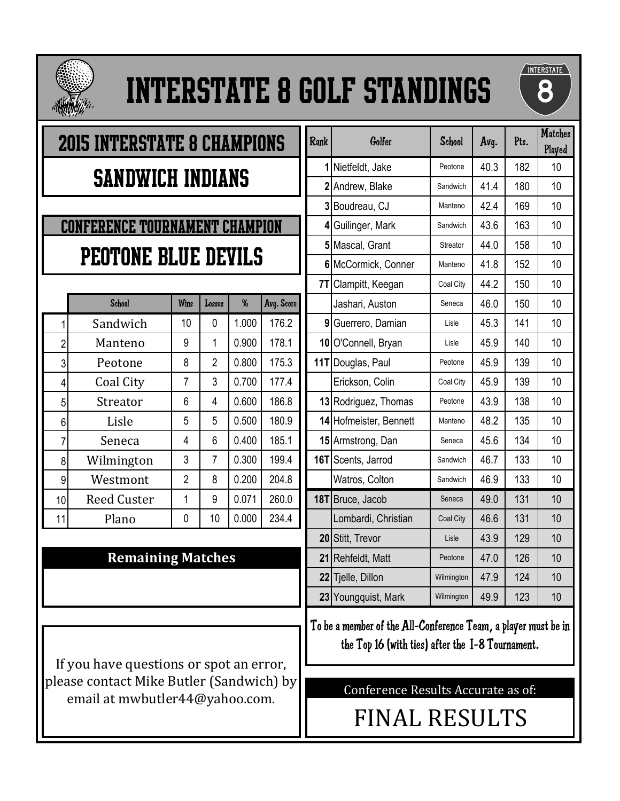

# Interstate 8 Golf Standings



# 2015 Interstate 8 Champions Sandwich Indians

# Conference Tournament Champion PEOTONE BLUE DEVILS

|                | <b>School</b>      | Wins           | Losses         | %     | Avg. Score |
|----------------|--------------------|----------------|----------------|-------|------------|
| 1              | Sandwich           | 10             | 0              | 1.000 | 176.2      |
| $\overline{2}$ | Manteno            | 9              | 1              | 0.900 | 178.1      |
| 3              | Peotone            | 8              | $\overline{2}$ | 0.800 | 175.3      |
| 4              | Coal City          | 7              | 3              | 0.700 | 177.4      |
| 5              | Streator           | 6              | 4              | 0.600 | 186.8      |
| 6              | Lisle              | 5              | 5              | 0.500 | 180.9      |
| 7              | Seneca             | 4              | 6              | 0.400 | 185.1      |
| 8              | Wilmington         | 3              | $\overline{7}$ | 0.300 | 199.4      |
| 9              | Westmont           | $\overline{2}$ | 8              | 0.200 | 204.8      |
| 10             | <b>Reed Custer</b> | 1              | 9              | 0.071 | 260.0      |
| 11             | Plano              | 0              | 10             | 0.000 | 234.4      |
|                |                    |                |                |       |            |

#### **Remaining Matches**

If you have questions or spot an error, please contact Mike Butler (Sandwich) by email at mwbutler44@yahoo.com.

|                  | <b>2015 INTERSTATE 8 CHAMPIONS</b>    |                |                |       |            | <b>Rank</b>    | Golfer                 | <b>School</b> | Avg. | Pts. | <b>Matches</b><br>Played |
|------------------|---------------------------------------|----------------|----------------|-------|------------|----------------|------------------------|---------------|------|------|--------------------------|
|                  |                                       |                |                |       |            |                | 1 Nietfeldt, Jake      | Peotone       | 40.3 | 182  | 10                       |
|                  | <b>SANDWICH INDIANS</b>               |                |                |       |            |                | 2 Andrew, Blake        | Sandwich      | 41.4 | 180  | 10                       |
|                  |                                       |                |                |       |            |                | 3 Boudreau, CJ         | Manteno       | 42.4 | 169  | 10                       |
|                  | <b>CONFERENCE TOURNAMENT CHAMPION</b> |                |                |       |            |                | 4 Guilinger, Mark      | Sandwich      | 43.6 | 163  | 10                       |
|                  |                                       |                |                |       |            |                | 5 Mascal, Grant        | Streator      | 44.0 | 158  | 10                       |
|                  | <b>PEOTONE BLUE DEVILS</b>            |                |                |       |            |                | 6 McCormick, Conner    | Manteno       | 41.8 | 152  | 10                       |
|                  |                                       |                |                |       |            | 7 <sub>T</sub> | Clampitt, Keegan       | Coal City     | 44.2 | 150  | 10                       |
|                  | School                                | Wins           | Losses         | $\%$  | Avg. Score |                | Jashari, Auston        | Seneca        | 46.0 | 150  | 10                       |
| 1                | Sandwich                              | 10             | $\mathbf 0$    | 1.000 | 176.2      |                | 9 Guerrero, Damian     | Lisle         | 45.3 | 141  | 10                       |
| $\overline{c}$   | Manteno                               | 9              | 1              | 0.900 | 178.1      |                | 10 O'Connell, Bryan    | Lisle         | 45.9 | 140  | 10                       |
| 3                | Peotone                               | 8              | $\overline{2}$ | 0.800 | 175.3      |                | 11T Douglas, Paul      | Peotone       | 45.9 | 139  | 10                       |
| 4                | Coal City                             | $\overline{7}$ | 3              | 0.700 | 177.4      |                | Erickson, Colin        | Coal City     | 45.9 | 139  | 10                       |
| 5                | Streator                              | 6              | 4              | 0.600 | 186.8      |                | 13 Rodriguez, Thomas   | Peotone       | 43.9 | 138  | 10                       |
| 6                | Lisle                                 | 5              | 5              | 0.500 | 180.9      |                | 14 Hofmeister, Bennett | Manteno       | 48.2 | 135  | 10                       |
| $\overline{7}$   | Seneca                                | 4              | 6              | 0.400 | 185.1      |                | 15 Armstrong, Dan      | Seneca        | 45.6 | 134  | 10                       |
| 8                | Wilmington                            | 3              | 7              | 0.300 | 199.4      |                | 16T Scents, Jarrod     | Sandwich      | 46.7 | 133  | 10                       |
| $\boldsymbol{9}$ | Westmont                              | $\overline{2}$ | 8              | 0.200 | 204.8      |                | Watros, Colton         | Sandwich      | 46.9 | 133  | 10                       |
| 10               | <b>Reed Custer</b>                    | 1              | $9\,$          | 0.071 | 260.0      |                | 18T Bruce, Jacob       | Seneca        | 49.0 | 131  | 10                       |
| 11               | Plano                                 | 0              | 10             | 0.000 | 234.4      |                | Lombardi, Christian    | Coal City     | 46.6 | 131  | 10                       |
|                  |                                       |                |                |       |            |                | 20 Stitt, Trevor       | Lisle         | 43.9 | 129  | 10                       |
|                  | <b>Remaining Matches</b>              |                |                |       |            |                | 21 Rehfeldt, Matt      | Peotone       | 47.0 | 126  | 10                       |
|                  |                                       |                |                |       |            |                | 22 Tjelle, Dillon      | Wilmington    | 47.9 | 124  | 10                       |
|                  |                                       |                |                |       |            |                | 23 Youngquist, Mark    | Wilmington    | 49.9 | 123  | 10                       |

To be a member of the All-Conference Team, a player must be in the Top 16 (with ties) after the I-8 Tournament.

Conference Results Accurate as of:

FINAL RESULTS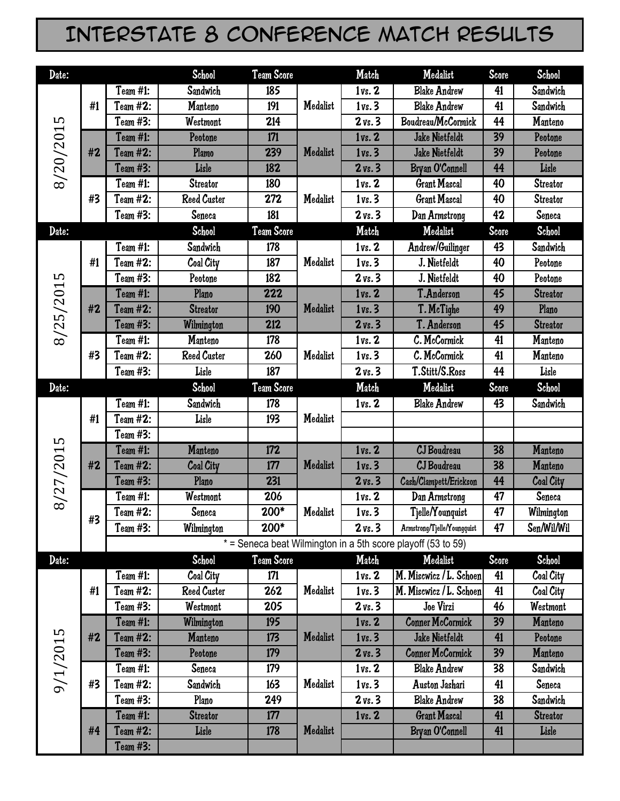### Interstate 8 Conference Match Results

| Date:     |                |                 | <b>School</b>      | Team Score |          | Match              | Medalist                                                     | Score | School           |
|-----------|----------------|-----------------|--------------------|------------|----------|--------------------|--------------------------------------------------------------|-------|------------------|
|           |                | Team #1:        | Sandwich           | 185        |          | 1vs. 2             | <b>Blake Andrew</b>                                          | 41    | Sandwich         |
|           | #1             | Team #2:        | Manteno            | 191        | Medalist | 1vs.3              | <b>Blake Andrew</b>                                          | 41    | Sandwich         |
|           |                | Team #3:        | Westmont           | 214        |          | $2 \text{ vs. } 3$ | Boudreau/McCormick                                           | 44    | Manteno          |
|           |                | Team #1:        | Peotone            | 171        |          | 1vs. 2             | <b>Jake Nietfeldt</b>                                        | 39    | Peotone          |
|           | #2             | Team #2:        | Plamo              | 239        | Medalist | 1vs.3              | Jake Nietfeldt                                               | 39    | Peotone          |
| 8/20/2015 |                | Team #3:        | Lisle              | 182        |          | $2 \text{ vs. } 3$ | Bryan O'Connell                                              | 44    | Lisle            |
|           |                | Team #1:        | <b>Streator</b>    | 180        |          | 1vs. 2             | <b>Grant Mascal</b>                                          | 40    | <b>Streator</b>  |
|           | #3             | Team #2:        | <b>Reed Custer</b> | 272        | Medalist | 1vs.3              | <b>Grant Mascal</b>                                          | 40    | <b>Streator</b>  |
|           |                | Team #3:        | Seneca             | 181        |          | $2 \text{ vs. } 3$ | Dan Armstrong                                                | 42    | Seneca           |
| Date:     |                |                 | School             | Team Score |          | Match              | Medalist                                                     | Score | School           |
|           |                | Team #1:        | Sandwich           | 178        |          | 1vs. 2             | Andrew/Guilinger                                             | 43    | Sandwich         |
|           | #1             | Team #2:        | Coal City          | 187        | Medalist | 1vs.3              | J. Nietfeldt                                                 | 40    | Peotone          |
|           |                | Team #3:        | Peotone            | 182        |          | $2 \text{ vs. } 3$ | J. Nietfeldt                                                 | 40    | Peotone          |
| 8/25/2015 |                | <b>Team #1:</b> | Plano              | 222        |          | 1vs. 2             | T.Anderson                                                   | 45    | <b>Streator</b>  |
|           | #2             | Team #2:        | <b>Streator</b>    | 190        | Medalist | 1vs.3              | T. McTighe                                                   | 49    | Plano            |
|           |                | Team #3:        | Wilmington         | 212        |          | $2 \text{ vs. } 3$ | T. Anderson                                                  | 45    | <b>Streator</b>  |
|           |                | Team #1:        | Manteno            | 178        |          | 1vs. 2             | C. McCormick                                                 | 41    | Manteno          |
|           | #3             | Team #2:        | <b>Reed Custer</b> | 260        | Medalist | 1vs.3              | C. McCormick                                                 | 41    | Manteno          |
|           |                | Team #3:        | Lisle              | 187        |          | $2 \text{ vs. } 3$ | T.Stitt/S.Ross                                               | 44    | Lisle            |
| Date:     |                |                 | <b>School</b>      | Team Score |          | Match              | Medalist                                                     | Score | <b>School</b>    |
|           |                | Team #1:        | Sandwich           | 178        |          | 1vs. 2             | <b>Blake Andrew</b>                                          | 43    | Sandwich         |
|           | #1             | Team #2:        | Lisle              | 193        | Medalist |                    |                                                              |       |                  |
|           |                | Team #3:        |                    |            |          |                    |                                                              |       |                  |
| 8/27/2015 |                | Team #1:        | Manteno            | 172        |          | 1vs. 2             | CJ Boudreau                                                  | 38    | Manteno          |
|           | #2             | Team #2:        | <b>Coal City</b>   | 177        | Medalist | 1vs.3              | CJ Boudreau                                                  | 38    | Manteno          |
|           |                | Team #3:        | Plano              | 231        |          | $2 \text{ vs. } 3$ | Cash/Clampett/Erickson                                       | 44    | <b>Coal City</b> |
|           |                | Team #1:        | Westmont           | 206        |          | 1vs. 2             | Dan Armstrong                                                | 47    | Seneca           |
|           | #3             | Team #2:        | Seneca             | 200*       | Medalist | 1vs.3              | Tjelle/Younquist                                             | 47    | Wilmington       |
|           |                | Team #3:        | Wilmington         | $200*$     |          | $2 \text{ vs. } 3$ | Armstrong/Tjelle/Youngquist                                  | 47    | Sen/Wil/Wil      |
|           |                |                 |                    |            |          |                    | * = Seneca beat Wilmington in a 5th score playoff (53 to 59) |       |                  |
| Date:     |                |                 | School             | Team Score |          | Match              | Medalist                                                     | Score | School           |
|           |                | Team #1:        | Coal City          | 171        |          | 1vs. 2             | M. Miscwicz / L. Schoen                                      | 41    | Coal City        |
|           | #1             | Team #2:        | <b>Reed Custer</b> | 262        | Medalist | 1vs.3              | M. Miscwicz / L. Schoen                                      | 41    | Coal City        |
|           |                | Team #3:        | Westmont           | 205        |          | $2 \text{ vs. } 3$ | Joe Virzi                                                    | 46    | Westmont         |
|           |                | Team #1:        | Wilmington         | 195        |          | 1vs. 2             | <b>Conner McCormick</b>                                      | 39    | Manteno          |
|           | #2             | Team #2:        | Manteno            | 173        | Medalist | 1vs.3              | Jake Nietfeldt                                               | 41    | Peotone          |
|           |                | Team #3:        | Peotone            | 179        |          | $2 \text{ vs. } 3$ | <b>Conner McCormick</b>                                      | 39    | Manteno          |
|           |                | Team #1:        | Seneca             | 179        |          | 1vs. 2             | <b>Blake Andrew</b>                                          | 38    | Sandwich         |
|           | 9/1/2015<br>#3 | Team #2:        | Sandwich           | 163        | Medalist | 1vs.3              | Auston Jashari                                               | 41    | Seneca           |
|           |                | Team #3:        | Plano              | 249        |          | $2 \text{ vs. } 3$ | <b>Blake Andrew</b>                                          | 38    | Sandwich         |
|           |                | Team #1:        | <b>Streator</b>    | 177        |          | 1vs. 2             | <b>Grant Mascal</b>                                          | 41    | <b>Streator</b>  |
|           | #4             | Team #2:        | Lisle              | 178        | Medalist |                    | Bryan O'Connell                                              | 41    | Lisle            |
|           |                | Team #3:        |                    |            |          |                    |                                                              |       |                  |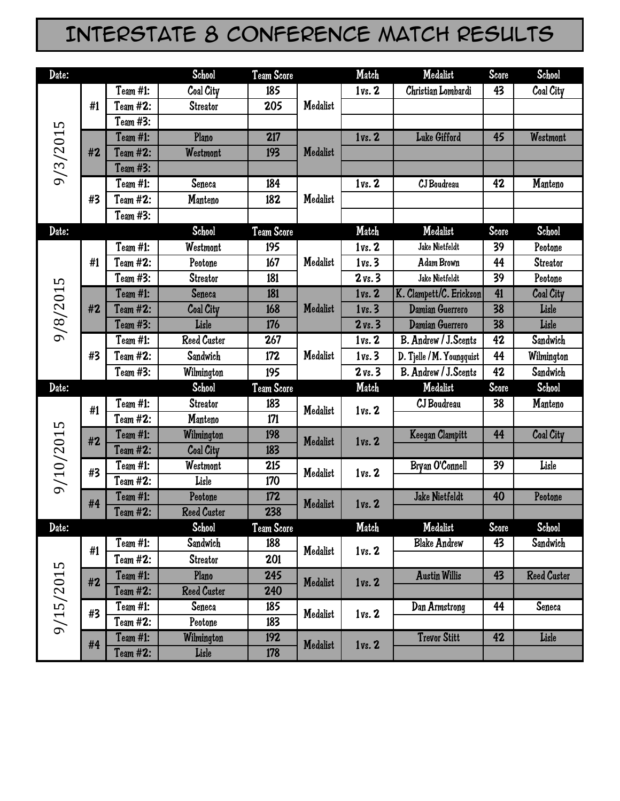### Interstate 8 Conference Match Results

| Date:     |          |                 | <b>School</b>      | Team Score |          | Match              | Medalist                  | Score | School             |
|-----------|----------|-----------------|--------------------|------------|----------|--------------------|---------------------------|-------|--------------------|
|           |          | Team #1:        | Coal City          | 185        |          | 1vs. 2             | Christian Lombardi        | 43    | Coal City          |
|           | #1       | Team #2:        | <b>Streator</b>    | 205        | Medalist |                    |                           |       |                    |
|           |          | Team #3:        |                    |            |          |                    |                           |       |                    |
| 9/3/2015  |          | <b>Team #1:</b> | Plano              | 217        |          | 1vs. 2             | Luke Gifford              | 45    | Westmont           |
|           | #2       | Team #2:        | Westmont           | 193        | Medalist |                    |                           |       |                    |
|           |          | Team #3:        |                    |            |          |                    |                           |       |                    |
|           |          | Team #1:        | Seneca             | 184        |          | 1vs. 2             | CJ Boudreau               | 42    | <b>Manteno</b>     |
|           | #3       | Team #2:        | Manteno            | 182        | Medalist |                    |                           |       |                    |
|           |          | Team #3:        |                    |            |          |                    |                           |       |                    |
| Date:     |          |                 | <b>School</b>      | Team Score |          | Match              | Medalist                  | Score | School             |
|           |          | Team #1:        | Westmont           | 195        |          | 1vs. 2             | Jake Nietfeldt            | 39    | Peotone            |
|           | #1       | Team #2:        | Peotone            | 167        | Medalist | 1vs.3              | Adam Brown                | 44    | <b>Streator</b>    |
|           |          | Team #3:        | <b>Streator</b>    | 181        |          | $2 \text{ vs. } 3$ | Jake Nietfeldt            | 39    | Peotone            |
| 9/8/2015  |          | Team #1:        | <b>Seneca</b>      | 181        |          | 1vs. 2             | K. Clampett/C. Erickson   | 41    | Coal City          |
|           | #2       | Team #2:        | Coal City          | 168        | Medalist | 1vs.3              | Damian Guerrero           | 38    | Lisle              |
|           |          | Team #3:        | Lisle              | 176        |          | $2 \text{ vs. } 3$ | Damian Guerrero           | 38    | Lisle              |
|           |          | Team #1:        | <b>Reed Custer</b> | 267        |          | 1vs. 2             | B. Andrew / J. Scents     | 42    | Sandwich           |
|           | #3       | Team #2:        | Sandwich           | 172        | Medalist | 1vs.3              | D. Tjelle / M. Youngquist | 44    | Wilmington         |
|           |          | Team #3:        | Wilmington         | 195        |          | $2 \text{ vs. } 3$ | B. Andrew / J. Scents     | 42    | Sandwich           |
| Date:     |          |                 | School             | Team Score |          | Match              | Medalist                  | Score | School             |
|           | #1       | Team #1:        | <b>Streator</b>    | 183        | Medalist | 1vs. 2             | CJ Boudreau               | 38    | Manteno            |
|           |          | Team #2:        | Manteno            | 171        |          |                    |                           |       |                    |
|           | #2       | <b>Team #1:</b> | Wilmington         | 198        | Medalist | 1vs. 2             | Keegan Clampitt           | 44    | Coal City          |
|           |          | Team #2:        | Coal City          | 183        |          |                    |                           |       |                    |
| 9/10/2015 | #3       | Team #1:        | Westmont           | 215        | Medalist | 1vs. 2             | Bryan O'Connell           | 39    | Lisle              |
|           |          | Team #2:        | Lisle              | 170        |          |                    |                           |       |                    |
|           | #4       | Team #1:        | Peotone            | 172        | Medalist | 1vs. 2             | Jake Nietfeldt            | 40    | Peotone            |
|           |          | Team #2:        | <b>Reed Custer</b> | 238        |          |                    |                           |       |                    |
| Date:     |          |                 | School             | Team Score |          | Match              | Medalist                  | Score | School             |
|           | #1       | Team #1:        | Sandwich           | 188        | Medalist | 1vs. 2             | <b>Blake Andrew</b>       | 43    | Sandwich           |
|           |          | Team #2:        | <b>Streator</b>    | 201        |          |                    |                           |       |                    |
|           | #2       | <b>Team #1:</b> | Plano              | 245        | Medalist | 1vs. 2             | <b>Austin Willis</b>      | 43    | <b>Reed Custer</b> |
| 9/15/2015 |          | Team #2:        | <b>Reed Custer</b> | 240        |          |                    |                           |       |                    |
|           | #3       | Team #1:        | Seneca             | 185        | Medalist | 1vs. 2             | Dan Armstrong             | 44    | Seneca             |
|           |          | Team #2:        | Peotone            | 183        |          |                    |                           |       |                    |
|           |          | <b>Team #1:</b> | Wilmington         | 192        | Medalist | 1vs. 2             | <b>Trevor Stitt</b>       | 42    | Lisle              |
| #4        | Team #2: | Lisle           | 178                |            |          |                    |                           |       |                    |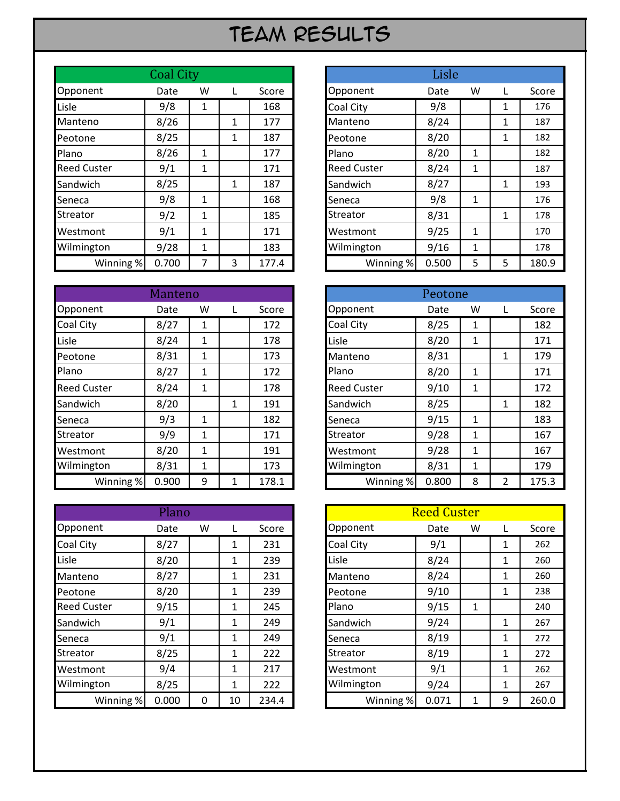#### Team Results

|                    | <b>Coal City</b> |   |   |       |                    | Lisle |    |   |  |
|--------------------|------------------|---|---|-------|--------------------|-------|----|---|--|
| Opponent           | Date             | W |   | Score | Opponent           | Date  | W  |   |  |
| Lisle              | 9/8              | 1 |   | 168   | Coal City          | 9/8   |    | 1 |  |
| Manteno            | 8/26             |   | 1 | 177   | Manteno            | 8/24  |    | 1 |  |
| Peotone            | 8/25             |   | 1 | 187   | Peotone            | 8/20  |    | 1 |  |
| Plano              | 8/26             | 1 |   | 177   | Plano              | 8/20  | 1  |   |  |
| <b>Reed Custer</b> | 9/1              | 1 |   | 171   | <b>Reed Custer</b> | 8/24  | 1  |   |  |
| Sandwich           | 8/25             |   | 1 | 187   | Sandwich           | 8/27  |    | 1 |  |
| Seneca             | 9/8              | 1 |   | 168   | Seneca             | 9/8   | 1  |   |  |
| <b>Streator</b>    | 9/2              | 1 |   | 185   | Streator           | 8/31  |    | 1 |  |
| Westmont           | 9/1              | 1 |   | 171   | Westmont           | 9/25  | 1  |   |  |
| Wilmington         | 9/28             | 1 |   | 183   | Wilmington         | 9/16  | 1  |   |  |
| Winning %          | 0.700            | 7 | 3 | 177.4 | Winning %          | 0.500 | 5. | 5 |  |

|                    | Manteno |   |   |       |                    |       |   |   |       |
|--------------------|---------|---|---|-------|--------------------|-------|---|---|-------|
| Opponent           | Date    | W |   | Score | Opponent           | Date  | W | L | Score |
| Coal City          | 8/27    | 1 |   | 172   | Coal City          | 8/25  | 1 |   | 182   |
| Lisle              | 8/24    | 1 |   | 178   | Lisle              | 8/20  | 1 |   | 171   |
| Peotone            | 8/31    | 1 |   | 173   | Manteno            | 8/31  |   | 1 | 179   |
| Plano              | 8/27    | 1 |   | 172   | Plano              | 8/20  | 1 |   | 171   |
| <b>Reed Custer</b> | 8/24    | 1 |   | 178   | <b>Reed Custer</b> | 9/10  | 1 |   | 172   |
| Sandwich           | 8/20    |   | 1 | 191   | Sandwich           | 8/25  |   | 1 | 182   |
| Seneca             | 9/3     | 1 |   | 182   | Seneca             | 9/15  | 1 |   | 183   |
| Streator           | 9/9     | 1 |   | 171   | <b>Streator</b>    | 9/28  | 1 |   | 167   |
| Westmont           | 8/20    | 1 |   | 191   | Westmont           | 9/28  | 1 |   | 167   |
| Wilmington         | 8/31    | 1 |   | 173   | Wilmington         | 8/31  | 1 |   | 179   |
| Winning %          | 0.900   | 9 |   | 178.1 | Winning %          | 0.800 | 8 | 2 | 175.3 |

|                    | <b>Plano</b> |   |    |       |                  | <b>Reed Custer</b> |   |   |       |
|--------------------|--------------|---|----|-------|------------------|--------------------|---|---|-------|
| Opponent           | Date         | W |    | Score | Opponent         | Date               | W | L | Score |
| <b>Coal City</b>   | 8/27         |   |    | 231   | <b>Coal City</b> | 9/1                |   | 1 |       |
| Lisle              | 8/20         |   | 1  | 239   | Lisle            | 8/24               |   | 1 |       |
| Manteno            | 8/27         |   | 1  | 231   | Manteno          | 8/24               |   | 1 |       |
| Peotone            | 8/20         |   | 1  | 239   | Peotone          | 9/10               |   | 1 |       |
| <b>Reed Custer</b> | 9/15         |   | 1  | 245   | Plano            | 9/15               | 1 |   |       |
| Sandwich           | 9/1          |   | 1  | 249   | Sandwich         | 9/24               |   | 1 |       |
| Seneca             | 9/1          |   | 1  | 249   | Seneca           | 8/19               |   | 1 |       |
| <b>Streator</b>    | 8/25         |   | 1  | 222   | Streator         | 8/19               |   | 1 |       |
| Westmont           | 9/4          |   | 1  | 217   | Westmont         | 9/1                |   | 1 |       |
| Wilmington         | 8/25         |   | 1  | 222   | Wilmington       | 9/24               |   | 1 |       |
| Winning %          | 0.000        | 0 | 10 | 234.4 | Winning %        | 0.071              |   | 9 | 260.0 |

|           | <b>Coal City</b> |              |   |       |
|-----------|------------------|--------------|---|-------|
| nt        | Date             | w            |   | Score |
|           | 9/8              | 1            |   | 168   |
| D         | 8/26             |              | 1 | 177   |
|           | 8/25             |              | 1 | 187   |
|           | 8/26             | 1            |   | 177   |
| ster      | 9/1              | 1            |   | 171   |
| h         | 8/25             |              | 1 | 187   |
|           | 9/8              | $\mathbf{1}$ |   | 168   |
|           | 9/2              | $\mathbf{1}$ |   | 185   |
| nt        | 9/1              | $\mathbf{1}$ |   | 171   |
| ton       | 9/28             | $\mathbf{1}$ |   | 183   |
| Winning % | 0.700            | 7            | 3 | 177.4 |

|           | Manteno |              |   |       |                    | Peotone |              |                |  |
|-----------|---------|--------------|---|-------|--------------------|---------|--------------|----------------|--|
| nt        | Date    | W            |   | Score | Opponent           | Date    | W            |                |  |
|           | 8/27    | 1            |   | 172   | Coal City          | 8/25    | 1            |                |  |
|           | 8/24    | 1            |   | 178   | Lisle              | 8/20    | 1            |                |  |
|           | 8/31    | 1            |   | 173   | Manteno            | 8/31    |              | $\mathbf{1}$   |  |
|           | 8/27    | $\mathbf{1}$ |   | 172   | Plano              | 8/20    | 1            |                |  |
| ster      | 8/24    | 1            |   | 178   | <b>Reed Custer</b> | 9/10    | 1            |                |  |
| h         | 8/20    |              | 1 | 191   | Sandwich           | 8/25    |              | 1              |  |
|           | 9/3     | 1            |   | 182   | Seneca             | 9/15    | 1            |                |  |
|           | 9/9     | $\mathbf{1}$ |   | 171   | <b>Streator</b>    | 9/28    | $\mathbf{1}$ |                |  |
| nt        | 8/20    | 1            |   | 191   | Westmont           | 9/28    | $\mathbf{1}$ |                |  |
| ton       | 8/31    | $\mathbf{1}$ |   | 173   | Wilmington         | 8/31    | 1            |                |  |
| Winning % | 0.900   | 9            | 1 | 178.1 | Winning %          | 0.800   | 8            | $\overline{2}$ |  |

|           | Plano |          |    |       |            | <b>Reed Custer</b> |   |              |  |
|-----------|-------|----------|----|-------|------------|--------------------|---|--------------|--|
| nt        | Date  | W        |    | Score | Opponent   | Date               | W | L            |  |
|           | 8/27  |          | 1  | 231   | Coal City  | 9/1                |   | 1            |  |
|           | 8/20  |          | 1  | 239   | Lisle      | 8/24               |   | $\mathbf{1}$ |  |
| D         | 8/27  |          | 1  | 231   | Manteno    | 8/24               |   | 1            |  |
|           | 8/20  |          | 1  | 239   | Peotone    | 9/10               |   | 1            |  |
| ster      | 9/15  |          | 1  | 245   | Plano      | 9/15               | 1 |              |  |
| h         | 9/1   |          | 1  | 249   | Sandwich   | 9/24               |   | $\mathbf{1}$ |  |
|           | 9/1   |          | 1  | 249   | Seneca     | 8/19               |   | 1            |  |
|           | 8/25  |          | 1  | 222   | Streator   | 8/19               |   | $\mathbf{1}$ |  |
| nt        | 9/4   |          | 1  | 217   | Westmont   | 9/1                |   | $\mathbf{1}$ |  |
| ton       | 8/25  |          | 1  | 222   | Wilmington | 9/24               |   | $\mathbf{1}$ |  |
| Winning % | 0.000 | $\Omega$ | 10 | 234.4 | Winning %  | 0.071              | 1 | 9            |  |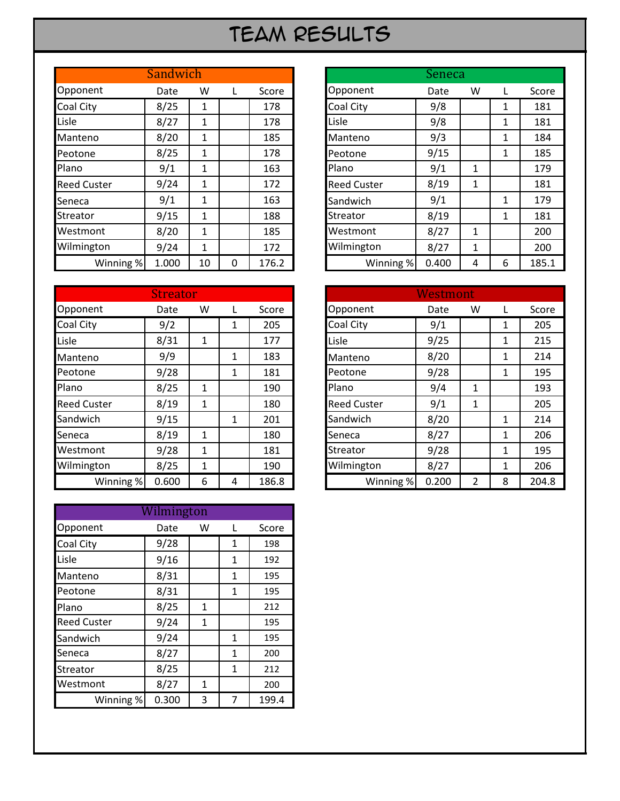#### Team Results

|                    | Sandwich |    |   |       | Seneca             |       |   |   |  |
|--------------------|----------|----|---|-------|--------------------|-------|---|---|--|
| Opponent           | Date     | W  |   | Score | Opponent           | Date  | W |   |  |
| Coal City          | 8/25     | 1  |   | 178   | <b>Coal City</b>   | 9/8   |   | 1 |  |
| Lisle              | 8/27     | 1  |   | 178   | Lisle              | 9/8   |   | 1 |  |
| Manteno            | 8/20     | 1  |   | 185   | Manteno            | 9/3   |   | 1 |  |
| Peotone            | 8/25     | 1  |   | 178   | Peotone            | 9/15  |   | 1 |  |
| Plano              | 9/1      | 1  |   | 163   | Plano              | 9/1   | 1 |   |  |
| <b>Reed Custer</b> | 9/24     | 1  |   | 172   | <b>Reed Custer</b> | 8/19  | 1 |   |  |
| Seneca             | 9/1      | 1  |   | 163   | Sandwich           | 9/1   |   | 1 |  |
| <b>Streator</b>    | 9/15     | 1  |   | 188   | <b>Streator</b>    | 8/19  |   | 1 |  |
| Westmont           | 8/20     | 1  |   | 185   | Westmont           | 8/27  | 1 |   |  |
| Wilmington         | 9/24     | 1  |   | 172   | Wilmington         | 8/27  | 1 |   |  |
| Winning %          | 1.000    | 10 | 0 | 176.2 | Winning %          | 0.400 | 4 | 6 |  |

|                    | <b>Streator</b> |   |   |       |                    | Westmont |   |              |       |
|--------------------|-----------------|---|---|-------|--------------------|----------|---|--------------|-------|
| Opponent           | Date            | W |   | Score | Opponent           | Date     | W |              | Score |
| Coal City          | 9/2             |   | 1 | 205   | Coal City          | 9/1      |   | 1            | 205   |
| Lisle              | 8/31            | 1 |   | 177   | Lisle              | 9/25     |   | 1            | 215   |
| Manteno            | 9/9             |   | 1 | 183   | Manteno            | 8/20     |   | 1            | 214   |
| Peotone            | 9/28            |   | 1 | 181   | Peotone            | 9/28     |   | 1            | 195   |
| Plano              | 8/25            | 1 |   | 190   | Plano              | 9/4      | 1 |              | 193   |
| <b>Reed Custer</b> | 8/19            | 1 |   | 180   | <b>Reed Custer</b> | 9/1      | 1 |              | 205   |
| Sandwich           | 9/15            |   | 1 | 201   | Sandwich           | 8/20     |   | 1            | 214   |
| Seneca             | 8/19            | 1 |   | 180   | Seneca             | 8/27     |   | 1            | 206   |
| Westmont           | 9/28            | 1 |   | 181   | Streator           | 9/28     |   | 1            | 195   |
| Wilmington         | 8/25            | 1 |   | 190   | Wilmington         | 8/27     |   | $\mathbf{1}$ | 206   |
| Winning %          | 0.600           | 6 | 4 | 186.8 | Winning %          | 0.200    | 2 | 8            | 204.8 |

|                    | Wilmington |   |   |       |
|--------------------|------------|---|---|-------|
| Opponent           | Date       | W |   | Score |
| Coal City          | 9/28       |   | 1 | 198   |
| Lisle              | 9/16       |   | 1 | 192   |
| Manteno            | 8/31       |   | 1 | 195   |
| Peotone            | 8/31       |   | 1 | 195   |
| Plano              | 8/25       | 1 |   | 212   |
| <b>Reed Custer</b> | 9/24       | 1 |   | 195   |
| Sandwich           | 9/24       |   | 1 | 195   |
| Seneca             | 8/27       |   | 1 | 200   |
| Streator           | 8/25       |   | 1 | 212   |
| Westmont           | 8/27       | 1 |   | 200   |
| Winning %          | 0.300      | 3 | 7 | 199.4 |

|           | Sandwich |              |   |       |
|-----------|----------|--------------|---|-------|
| nt        | Date     | W            |   | Score |
|           | 8/25     | 1            |   | 178   |
|           | 8/27     | 1            |   | 178   |
|           | 8/20     | 1            |   | 185   |
|           | 8/25     | 1            |   | 178   |
|           | 9/1      | 1            |   | 163   |
| ster      | 9/24     | $\mathbf{1}$ |   | 172   |
|           | 9/1      | 1            |   | 163   |
|           | 9/15     | 1            |   | 188   |
| nt        | 8/20     | $\mathbf{1}$ |   | 185   |
| ton       | 9/24     | 1            |   | 172   |
| Winning % | 1.000    | 10           | 0 | 176.2 |

|           | <b>Streator</b> |              |   |       |                    | Westmont |              |              |       |
|-----------|-----------------|--------------|---|-------|--------------------|----------|--------------|--------------|-------|
| nt        | Date            | W            |   | Score | Opponent           | Date     | W            |              | Score |
|           | 9/2             |              | 1 | 205   | Coal City          | 9/1      |              | 1            |       |
|           | 8/31            | $\mathbf{1}$ |   | 177   | Lisle              | 9/25     |              | 1            |       |
| D         | 9/9             |              | 1 | 183   | Manteno            | 8/20     |              | 1            |       |
|           | 9/28            |              | 1 | 181   | Peotone            | 9/28     |              | 1            |       |
|           | 8/25            | 1            |   | 190   | Plano              | 9/4      | $\mathbf{1}$ |              |       |
| ster      | 8/19            | 1            |   | 180   | <b>Reed Custer</b> | 9/1      | 1            |              | 205   |
| h         | 9/15            |              | 1 | 201   | Sandwich           | 8/20     |              | 1            | 214   |
|           | 8/19            | $\mathbf{1}$ |   | 180   | Seneca             | 8/27     |              | $\mathbf{1}$ | 206   |
| nt        | 9/28            | 1            |   | 181   | <b>Streator</b>    | 9/28     |              | 1            | 195   |
| ton       | 8/25            | 1            |   | 190   | Wilmington         | 8/27     |              | 1            |       |
| Winning % | 0.600           | 6            | 4 | 186.8 | Winning %          | 0.200    | 2            | 8            | 204.8 |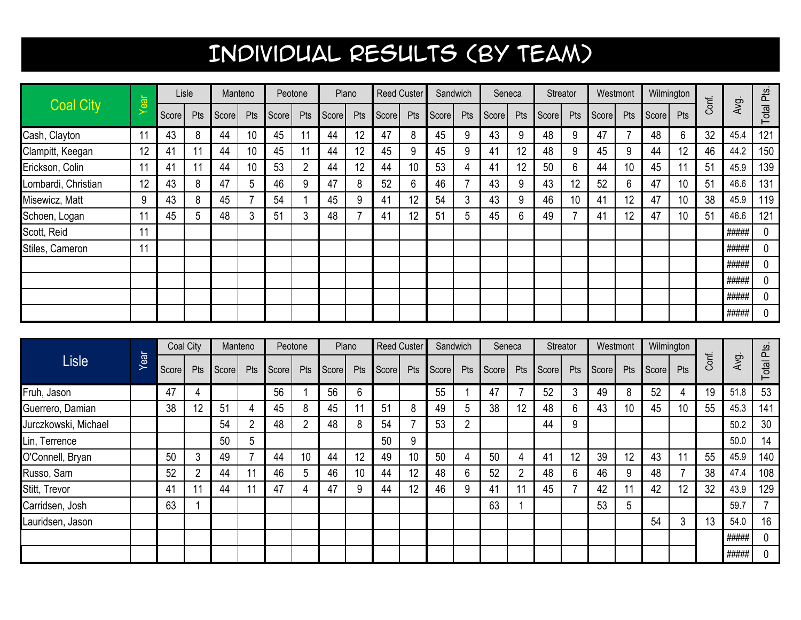|                     |      |        | Lisle           |        | Manteno         |                  | Peotone         |                  | Plano |                  | <b>Reed Custer</b> | Sandwich |     | Seneca                       |        | Streator         |     |                      | Westmont | Wilmington       |                 |       |       |             |
|---------------------|------|--------|-----------------|--------|-----------------|------------------|-----------------|------------------|-------|------------------|--------------------|----------|-----|------------------------------|--------|------------------|-----|----------------------|----------|------------------|-----------------|-------|-------|-------------|
| <b>Coal City</b>    | Year | Score  | Pts             | Score  | Pts             | Score            | Pts             | Score            | Pts   | Score            | Pts                | Score    | Pts | Score                        | Pts    | Score            | Pts | Score                | Pts      | Score            | Pts             | Conf. | Avg.  | Total Pts.  |
| Cash, Clayton       | 11   | 43     | 8               | 44     | 10              | 45               | 11              | 44               | 12    | 47               | 8                  | 45       | 9   | 43                           | 9      | 48               | 9   | 47                   |          | 48               | 6               | 32    | 45.4  | 121         |
| Clampitt, Keegan    | 12   | 41     | 11              | 44     | 10              | 45               | 11              | 44               | 12    | 45               | 9                  | 45       | 9   | 41                           | 12     | 48               | 9   | 45                   | 9        | 44               | 12              | 46    | 44.2  | 150         |
| Erickson, Colin     | 11   | 41     | 11              | 44     | 10              | 53               | $\overline{2}$  | 44               | 12    | 44               | 10                 | 53       | 4   | 41                           | 12     | 50               | 6   | 44                   | 10       | 45               | 11              | 51    | 45.9  | 139         |
| Lombardi, Christian | 12   | 43     | 8               | 47     | 5               | 46               | 9               | 47               | 8     | 52               | 6                  | 46       |     | 43                           | 9      | 43               | 12  | 52                   | 6        | 47               | 10              | 51    | 46.6  | 131         |
| Misewicz, Matt      | 9    | 43     | 8               | 45     |                 | 54               |                 | 45               | 9     | 41               | 12                 | 54       | 3   | 43                           | 9      | 46               | 10  | 41                   | 12       | 47               | 10              | 38    | 45.9  | 119         |
| Schoen, Logan       |      | 45     | 5               | 48     | 3               | 51               | 3               | 48               |       | 41               | 12                 | 51       | 5   | 45                           | 6      | 49               |     | 41                   | 12       | 47               | 10              | 51    | 46.6  | 121         |
| Scott, Reid         | 11   |        |                 |        |                 |                  |                 |                  |       |                  |                    |          |     |                              |        |                  |     |                      |          |                  |                 |       | ##### | 0           |
| Stiles, Cameron     | 11   |        |                 |        |                 |                  |                 |                  |       |                  |                    |          |     |                              |        |                  |     |                      |          |                  |                 |       | ##### | 0           |
|                     |      |        |                 |        |                 |                  |                 |                  |       |                  |                    |          |     |                              |        |                  |     |                      |          |                  |                 |       | ##### | 0           |
|                     |      |        |                 |        |                 |                  |                 |                  |       |                  |                    |          |     |                              |        |                  |     |                      |          |                  |                 |       | ##### | 0           |
|                     |      |        |                 |        |                 |                  |                 |                  |       |                  |                    |          |     |                              |        |                  |     |                      |          |                  |                 |       | ##### | 0           |
|                     |      |        |                 |        |                 |                  |                 |                  |       |                  |                    |          |     |                              |        |                  |     |                      |          |                  |                 |       | ##### | $\mathbf 0$ |
|                     |      |        |                 |        |                 |                  |                 |                  |       |                  |                    |          |     |                              |        |                  |     |                      |          |                  |                 |       |       |             |
|                     |      |        | Coal City       |        | Manteno         |                  | Peotone         |                  | Plano |                  | <b>Reed Custer</b> | Sandwich |     |                              | Seneca | Streator         |     |                      | Westmont | Wilmington       |                 |       |       |             |
| Lisle               | Year | Scoral | $p_{\text{te}}$ | Scoral | $p_{\text{te}}$ | S <sub>cor</sub> | $p_{\text{te}}$ | $\mathsf{Concl}$ |       | <b>Pte</b> Score |                    |          |     | <b>Pte Coorel Pte Coorel</b> |        | <b>Pte</b> Score |     | <b>Dte</b> Score Pte |          | $\mathsf{Concl}$ | $p_{\text{te}}$ | Conf. | Avg.  | tal Pts.    |

|                      |      |       | Coal City      |       | Manteno |       | Peotone         |       | Plano |       | <b>Reed Custer</b> | Sandwich |                |       | Seneca         | Streator |     | Westmont |     | Wilmington |     |       |       |                          |
|----------------------|------|-------|----------------|-------|---------|-------|-----------------|-------|-------|-------|--------------------|----------|----------------|-------|----------------|----------|-----|----------|-----|------------|-----|-------|-------|--------------------------|
| Lisle                | Year | Score | Pts            | Score | Pts     | Score | Pts             | Score | Pts   | Score | Pts                | Score    | Pts            | Score | <b>Pts</b>     | Score    | Pts | Score    | Pts | Score      | Pts | Conf. | Avg.  | Total Pts.               |
| Fruh, Jason          |      | 47    | 4              |       |         | 56    |                 | 56    | 6     |       |                    | 55       |                | 47    |                | 52       | 3   | 49       | 8   | 52         | 4   | 19    | 51.8  | 53                       |
| Guerrero, Damian     |      | 38    | 12             | 51    |         | 45    | 8               | 45    |       | 51    | 8                  | 49       | 5              | 38    | 12             | 48       | 6   | 43       | 10  | 45         | 10  | 55    | 45.3  | 141                      |
| Jurczkowski, Michael |      |       |                | 54    |         | 48    | n.              | 48    | 8     | 54    |                    | 53       | $\overline{2}$ |       |                | 44       | 9   |          |     |            |     |       | 50.2  | 30                       |
| Lin, Terrence        |      |       |                | 50    | 5       |       |                 |       |       | 50    | 9                  |          |                |       |                |          |     |          |     |            |     |       | 50.0  | 14                       |
| O'Connell, Bryan     |      | 50    | 3              | 49    |         | 44    | 10 <sup>°</sup> | 44    | 12    | 49    | 10                 | 50       | 4              | 50    | 4              | 41       | 12  | 39       | 12  | 43         | 11  | 55    | 45.9  | 140                      |
| Russo, Sam           |      | 52    | $\overline{2}$ | 44    |         | 46    | b.              | 46    | 10    | 44    | 12                 | 48       | 6              | 52    | $\overline{2}$ | 48       | 6   | 46       | 9   | 48         |     | 38    | 47.4  | 108                      |
| Stitt, Trevor        |      | 41    | 11             | 44    |         | 47    |                 | 47    | 9     | 44    | 12                 | 46       | 9              | 41    | 11             | 45       |     | 42       | 11  | 42         | 12  | 32    | 43.9  | 129                      |
| Carridsen, Josh      |      | 63    |                |       |         |       |                 |       |       |       |                    |          |                | 63    |                |          |     | 53       | 5   |            |     |       | 59.7  | $\overline{\phantom{a}}$ |
| Lauridsen, Jason     |      |       |                |       |         |       |                 |       |       |       |                    |          |                |       |                |          |     |          |     | 54         | 3   | 13    | 54.0  | 16                       |
|                      |      |       |                |       |         |       |                 |       |       |       |                    |          |                |       |                |          |     |          |     |            |     |       | ##### |                          |
|                      |      |       |                |       |         |       |                 |       |       |       |                    |          |                |       |                |          |     |          |     |            |     |       | ##### | 0                        |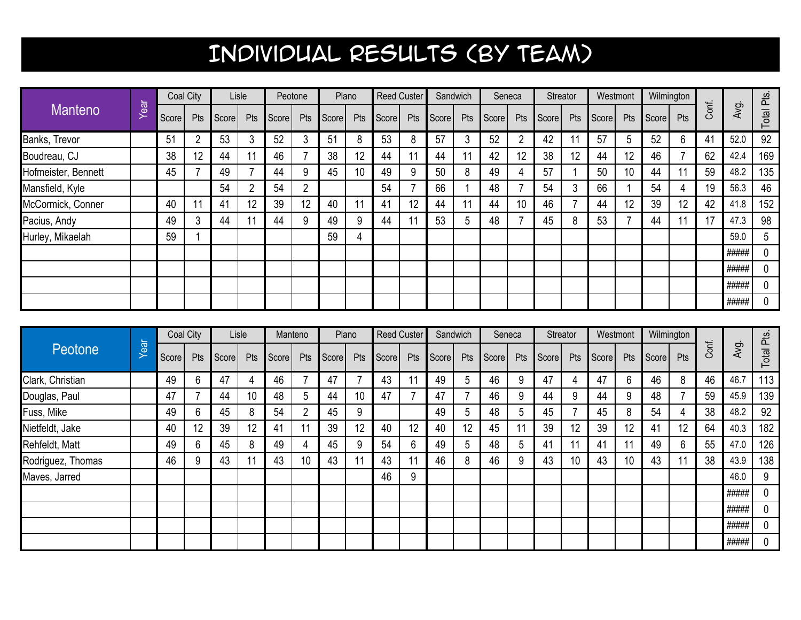|                     |      |       | Coal City |       | Lisle |       | Peotone |                | Plano |       | Reed Custer |       | Sandwich |       | Seneca |       | Streator | Westmont |     | Wilmington |     |       |       |            |
|---------------------|------|-------|-----------|-------|-------|-------|---------|----------------|-------|-------|-------------|-------|----------|-------|--------|-------|----------|----------|-----|------------|-----|-------|-------|------------|
| <b>Manteno</b>      | Near | Score | Pts       | Score | Pts   | Score | Pts     | Score          | Pts   | Score | Pts         | Score | Pts      | Score | Pts    | Score | Pts      | Score    | Pts | Score      | Pts | Conf. | Avg   | Total Pts. |
| Banks, Trevor       |      | 51    | റ         | 53    |       | 52    | 3       | 5 <sup>1</sup> | 8     | 53    | 8           | 57    | 3        | 52    | 2      | 42    |          | 57       | 5   | 52         | 6   | 41    | 52.0  | 92         |
| Boudreau, CJ        |      | 38    | 12        | 44    | 11    | 46    |         | 38             | 12    | 44    |             | 44    | 11       | 42    | 12     | 38    | 12       | 44       | 12  | 46         |     | 62    | 42.4  | 169        |
| Hofmeister, Bennett |      | 45    |           | 49    |       | 44    | 9       | 45             | 10    | 49    | 9           | 50    | 8        | 49    | 4      | 57    |          | 50       | 10  | 44         | 11  | 59    | 48.2  | 135        |
| Mansfield, Kyle     |      |       |           | 54    |       | 54    | 2       |                |       | 54    |             | 66    |          | 48    |        | 54    | 3        | 66       |     | 54         | 4   | 19    | 56.3  | 46         |
| McCormick, Conner   |      | 40    | 11        | 41    | 12    | 39    | 12      | 40             | 11    | 41    | 12          | 44    | 11       | 44    | 10     | 46    |          | 44       | 12  | 39         | 12  | 42    | 41.8  | 152        |
| Pacius, Andy        |      | 49    | 3         | 44    |       | 44    | 9       | 49             | 9     | 44    |             | 53    | ხ        | 48    |        | 45    | 8        | 53       |     | 44         | 11  | 17    | 47.3  | 98         |
| Hurley, Mikaelah    |      | 59    |           |       |       |       |         | 59             | 4     |       |             |       |          |       |        |       |          |          |     |            |     |       | 59.0  | 5          |
|                     |      |       |           |       |       |       |         |                |       |       |             |       |          |       |        |       |          |          |     |            |     |       | ##### | 0          |
|                     |      |       |           |       |       |       |         |                |       |       |             |       |          |       |        |       |          |          |     |            |     |       | ##### |            |
|                     |      |       |           |       |       |       |         |                |       |       |             |       |          |       |        |       |          |          |     |            |     |       | ##### | 0          |
|                     |      |       |           |       |       |       |         |                |       |       |             |       |          |       |        |       |          |          |     |            |     |       | ##### | 0          |

|                         |      |       | Coal City |       | Lisle           |       | Manteno |       | Plano |       | <b>Reed Custer</b> | Sandwich |     |       | Seneca |       | Streator | Westmont |                 | Wilmington |     |       |       |            |
|-------------------------|------|-------|-----------|-------|-----------------|-------|---------|-------|-------|-------|--------------------|----------|-----|-------|--------|-------|----------|----------|-----------------|------------|-----|-------|-------|------------|
| Peotone                 | Year | Score | Pts       | Score | Pts             | Score | Pts     | Score | Pts   | Score | Pts                | Score    | Pts | Score | Pts    | Score | Pts      | Score    | Pts             | Score      | Pts | Conf. | Avg.  | Total Pts. |
| Clark, Christian        |      | 49    | 6         | 47    | 4               | 46    |         | 47    |       | 43    |                    | 49       | 5   | 46    | 9      | 47    |          | 47       | 6               | 46         | 8   | 46    | 46.7  | 113        |
| Douglas, Paul           |      | 47    |           | 44    | 10 <sup>°</sup> | 48    | 5       | 44    | 10    | 47    |                    | 47       |     | 46    | 9      | 44    | 9        | 44       | 9               | 48         |     | 59    | 45.9  | 139        |
| Fuss, Mike              |      | 49    | 6         | 45    | 8               | 54    | C.      | 45    | 9     |       |                    | 49       | 5   | 48    | 5      | 45    |          | 45       | 8               | 54         | 4   | 38    | 48.2  | 92         |
| <b>Nietfeldt</b> , Jake |      | 40    | 12        | 39    | 12              | 41    | 11      | 39    | 12    | 40    | 12                 | 40       | 12  | 45    | 11     | 39    | 12       | 39       | 12              | 41         | 12  | 64    | 40.3  | 182        |
| Rehfeldt, Matt          |      | 49    | 6         | 45    | Ω<br>O          | 49    |         | 45    | 9     | 54    | b                  | 49       | 5   | 48    | 5      | 41    |          | 41       | 11              | 49         | 6   | 55    | 47.0  | 126        |
| Rodriguez, Thomas       |      | 46    | 9         | 43    |                 | 43    | 10      | 43    |       | 43    |                    | 46       | 8   | 46    | 9      | 43    | 10       | 43       | 10 <sup>1</sup> | 43         | 11  | 38    | 43.9  | 138        |
| Maves, Jarred           |      |       |           |       |                 |       |         |       |       | 46    | 9                  |          |     |       |        |       |          |          |                 |            |     |       | 46.0  | 9          |
|                         |      |       |           |       |                 |       |         |       |       |       |                    |          |     |       |        |       |          |          |                 |            |     |       | ##### | 0          |
|                         |      |       |           |       |                 |       |         |       |       |       |                    |          |     |       |        |       |          |          |                 |            |     |       | ##### | 0          |
|                         |      |       |           |       |                 |       |         |       |       |       |                    |          |     |       |        |       |          |          |                 |            |     |       | ##### | 0          |
|                         |      |       |           |       |                 |       |         |       |       |       |                    |          |     |       |        |       |          |          |                 |            |     |       | ##### | 0          |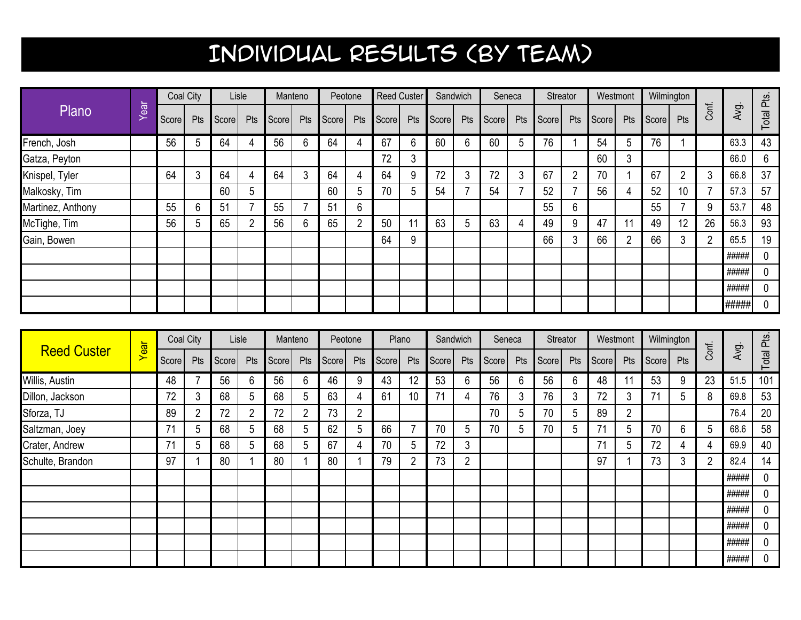|                   |            |       | Coal City |       | Lisle |       | Manteno |       | Peotone        |       | <b>Reed Custer</b> | Sandwich |     |       | Seneca |       | Streator | Westmont |     | Wilmington |     |       |       |            |
|-------------------|------------|-------|-----------|-------|-------|-------|---------|-------|----------------|-------|--------------------|----------|-----|-------|--------|-------|----------|----------|-----|------------|-----|-------|-------|------------|
| Plano             | <b>Tea</b> | Score | Pts       | Score | Pts   | Score | Pts     | Score | Pts            | Score | Pts                | Score    | Pts | Score | Pts    | Score | Pts      | Score    | Pts | Score      | Pts | Conf. | Avg.  | Total Pts. |
| French, Josh      |            | 56    | 5         | 64    |       | 56    | 6       | 64    | 4              | 67    | 6                  | 60       | 6   | 60    | 5      | 76    |          | 54       | 5   | 76         |     |       | 63.3  | 43         |
| Gatza, Peyton     |            |       |           |       |       |       |         |       |                | 72    | 3                  |          |     |       |        |       |          | 60       | 3   |            |     |       | 66.0  | 6          |
| Knispel, Tyler    |            | 64    | 3         | 64    |       | 64    | 3       | 64    | 4              | 64    | 9                  | 72       | 3   | 72    | 3      | 67    | ∩        | 70       |     | 67         | 2   | 3     | 66.8  | 37         |
| Malkosky, Tim     |            |       |           | 60    | b.    |       |         | 60    | 5              | 70    | 5                  | 54       |     | 54    |        | 52    |          | 56       |     | 52         | 10  |       | 57.3  | 57         |
| Martinez, Anthony |            | 55    | 6         | 51    |       | 55    |         | 51    | 6              |       |                    |          |     |       |        | 55    | 6        |          |     | 55         |     | 9     | 53.7  | 48         |
| McTighe, Tim      |            | 56    | 5         | 65    |       | 56    | 6       | 65    | $\overline{2}$ | 50    | 11                 | 63       | 5   | 63    | 4      | 49    | 9        | 47       | 11  | 49         | 12  | 26    | 56.3  | 93         |
| Gain, Bowen       |            |       |           |       |       |       |         |       |                | 64    | 9                  |          |     |       |        | 66    | 3        | 66       | 2   | 66         | 3   | C.    | 65.5  | 19         |
|                   |            |       |           |       |       |       |         |       |                |       |                    |          |     |       |        |       |          |          |     |            |     |       | ##### |            |
|                   |            |       |           |       |       |       |         |       |                |       |                    |          |     |       |        |       |          |          |     |            |     |       | ##### |            |
|                   |            |       |           |       |       |       |         |       |                |       |                    |          |     |       |        |       |          |          |     |            |     |       | ##### | 0          |
|                   |            |       |           |       |       |       |         |       |                |       |                    |          |     |       |        |       |          |          |     |            |     |       | ##### |            |

|                    |      |       | Coal City      |         | Lisle          |       | Manteno        |       | Peotone |                    | Plano          | Sandwich |                |       | Seneca |       | Streator | Westmont |     | Wilmington |     |       | $\sim$ |            |
|--------------------|------|-------|----------------|---------|----------------|-------|----------------|-------|---------|--------------------|----------------|----------|----------------|-------|--------|-------|----------|----------|-----|------------|-----|-------|--------|------------|
| <b>Reed Custer</b> | Year | Score | Pts            | Score l | Pts            | Score | Pts            | Score | Pts     | Score <sup>1</sup> | Pts            | Score    | Pts            | Score | Pts    | Score | Pts      | Score    | Pts | Score      | Pts | Conf. | Avg.   | Total Pts. |
| Willis, Austin     |      | 48    |                | 56      | 6              | 56    | 6              | 46    | 9       | 43                 | 12             | 53       | 6              | 56    | 6      | 56    | 6        | 48       |     | 53         | 9   | 23    | 51.5   | 101        |
| Dillon, Jackson    |      | 72    | 3              | 68      | 5              | 68    | 5              | 63    | 4       | 61                 | 10             | 71       | 4              | 76    | 3      | 76    | 3        | 72       | 3   | 71         | 5   | 8     | 69.8   | 53         |
| Sforza, TJ         |      | 89    | $\overline{2}$ | 72      | $\overline{2}$ | 72    | $\overline{2}$ | 73    | 2       |                    |                |          |                | 70    | 5      | 70    | 5        | 89       | 2   |            |     |       | 76.4   | 20         |
| Saltzman, Joey     |      | 71    | 5              | 68      | 5              | 68    | 5              | 62    | 5       | 66                 |                | 70       | 5              | 70    | 5      | 70    | 5        | 71       | 5   | 70         | 6   | 5     | 68.6   | 58         |
| Crater, Andrew     |      | 71    | 5              | 68      | 5              | 68    | 5              | 67    | 4       | 70                 | 5              | 72       | 3              |       |        |       |          | 71       | 5   | 72         | 4   |       | 69.9   | 40         |
| Schulte, Brandon   |      | 97    |                | 80      |                | 80    |                | 80    |         | 79                 | $\overline{2}$ | 73       | $\overline{2}$ |       |        |       |          | 97       |     | 73         | 3   | ∩     | 82.4   | 14         |
|                    |      |       |                |         |                |       |                |       |         |                    |                |          |                |       |        |       |          |          |     |            |     |       | #####  | 0          |
|                    |      |       |                |         |                |       |                |       |         |                    |                |          |                |       |        |       |          |          |     |            |     |       | #####  | 0          |
|                    |      |       |                |         |                |       |                |       |         |                    |                |          |                |       |        |       |          |          |     |            |     |       | #####  | 0          |
|                    |      |       |                |         |                |       |                |       |         |                    |                |          |                |       |        |       |          |          |     |            |     |       | #####  | 0          |
|                    |      |       |                |         |                |       |                |       |         |                    |                |          |                |       |        |       |          |          |     |            |     |       | #####  | 0          |
|                    |      |       |                |         |                |       |                |       |         |                    |                |          |                |       |        |       |          |          |     |            |     |       | #####  | 0          |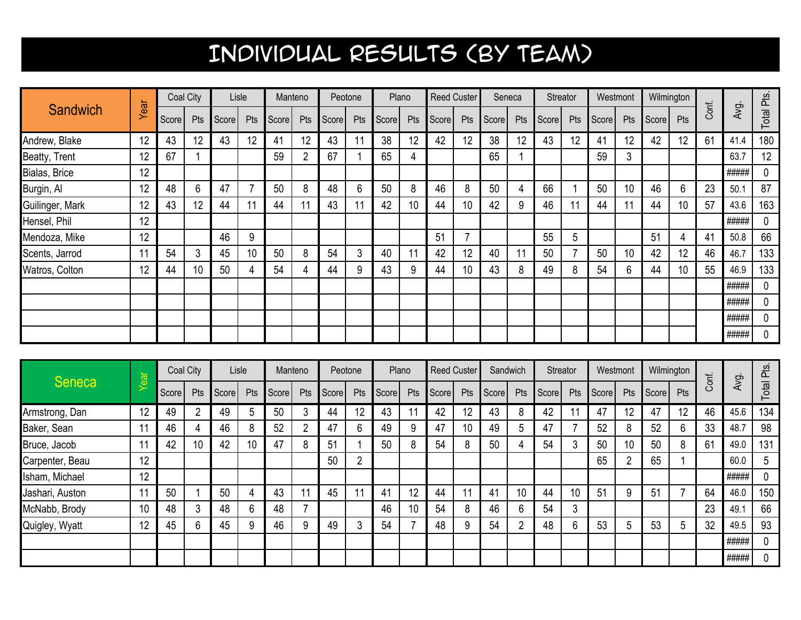|                 |      |       | Coal City |       | Lisle | Manteno |                |       | Peotone |       | Plano | <b>Reed Custer</b> |                          |       | Seneca |       | Streator | Westmont |                 | Wilmington |     |       |       |            |
|-----------------|------|-------|-----------|-------|-------|---------|----------------|-------|---------|-------|-------|--------------------|--------------------------|-------|--------|-------|----------|----------|-----------------|------------|-----|-------|-------|------------|
| Sandwich        | Year | Score | Pts       | Score | Pts   | Score   | Pts            | Score | Pts     | Score | Pts   | Score              | Pts                      | Score | Pts    | Score | Pts      | Score    | Pts             | Score      | Pts | Conf. | Avg.  | Total Pts. |
| Andrew, Blake   | 12   | 43    | 12        | 43    | 12    | 41      | 12             | 43    | 11      | 38    | 12    | 42                 | 12                       | 38    | 12     | 43    | 12       | 41       | 12              | 42         | 12  | 61    | 41.4  | 180        |
| Beatty, Trent   | 12   | 67    |           |       |       | 59      | $\overline{2}$ | 67    |         | 65    | 4     |                    |                          | 65    |        |       |          | 59       | 3               |            |     |       | 63.7  | 12         |
| Bialas, Brice   | 12   |       |           |       |       |         |                |       |         |       |       |                    |                          |       |        |       |          |          |                 |            |     |       | ##### | 0          |
| Burgin, Al      | 12   | 48    | 6         | 47    |       | 50      | 8              | 48    | 6       | 50    | 8     | 46                 | 8                        | 50    | 4      | 66    |          | 50       | 10              | 46         | 6   | 23    | 50.1  | 87         |
| Guilinger, Mark | 12   | 43    | 12        | 44    | 11    | 44      | 11             | 43    | 11      | 42    | 10    | 44                 | 10                       | 42    | 9      | 46    |          | 44       | 11              | 44         | 10  | 57    | 43.6  | 163        |
| Hensel, Phil    | 12   |       |           |       |       |         |                |       |         |       |       |                    |                          |       |        |       |          |          |                 |            |     |       | ##### | 0          |
| Mendoza, Mike   | 12   |       |           | 46    | 9     |         |                |       |         |       |       | 51                 | $\overline{\phantom{a}}$ |       |        | 55    | 5        |          |                 | 51         | 4   | 41    | 50.8  | 66         |
| Scents, Jarrod  |      | 54    | 3         | 45    | 10    | 50      | 8              | 54    | 3       | 40    |       | 42                 | 12                       | 40    | 11     | 50    |          | 50       | 10 <sup>°</sup> | 42         | 12  | 46    | 46.7  | 133        |
| Watros, Colton  | 12   | 44    | 10        | 50    | 4     | 54      | 4              | 44    | 9       | 43    | 9     | 44                 | 10                       | 43    | 8      | 49    | 8        | 54       | 6               | 44         | 10  | 55    | 46.9  | 133        |
|                 |      |       |           |       |       |         |                |       |         |       |       |                    |                          |       |        |       |          |          |                 |            |     |       | ##### | 0          |
|                 |      |       |           |       |       |         |                |       |         |       |       |                    |                          |       |        |       |          |          |                 |            |     |       | ##### | 0          |
|                 |      |       |           |       |       |         |                |       |         |       |       |                    |                          |       |        |       |          |          |                 |            |     |       | ##### | 0          |
|                 |      |       |           |       |       |         |                |       |         |       |       |                    |                          |       |        |       |          |          |                 |            |     |       | ##### | 0          |

|                 | $\overline{\overline{\sigma}}$ |       | Coal City |       | Lisle       | Manteno |     |       | Peotone |       | Plano | <b>Reed Custer</b> |     |       | Sandwich       | Streator |        | Westmont |              | Wilmington |     |       |       | as<br>Ta |
|-----------------|--------------------------------|-------|-----------|-------|-------------|---------|-----|-------|---------|-------|-------|--------------------|-----|-------|----------------|----------|--------|----------|--------------|------------|-----|-------|-------|----------|
| <b>Seneca</b>   | $\overline{\mathbf{e}}$        | Score | Pts       | Score | Pts         | Score   | Pts | Score | Pts     | Score | Pts   | Score              | Pts | Score | Pts            | Score    | Pts    | Score    | Pts          | Score      | Pts | Conf. | Avg.  | Total    |
| Armstrong, Dan  | 12                             | 49    |           | 49    | 5           | 50      | 3   | 44    | 12      | 43    |       | 42                 | 12  | 43    | 8              | 42       |        | 47       | 12           | 47         | 12  | 46    | 45.6  | 134      |
| Baker, Sean     | 11                             | 46    | 4         | 46    | 8           | 52      | n   | 47    | 6       | 49    | 9     | 47                 | 10  | 49    | 5              | 47       |        | 52       | 8            | 52         | 6   | 33    | 48.7  | 98       |
| Bruce, Jacob    | 11                             | 42    | 10        | 42    |             | 47      | 8   | 51    |         | 50    | 8     | 54                 | 8   | 50    | 4              | 54       | c      | 50       | 10           | 50         | 8   | 61    | 49.0  | 131      |
| Carpenter, Beau | 12                             |       |           |       |             |         |     | 50    | 2       |       |       |                    |     |       |                |          |        | 65       | <sup>n</sup> | 65         |     |       | 60.0  | 5        |
| Isham, Michael  | 12                             |       |           |       |             |         |     |       |         |       |       |                    |     |       |                |          |        |          |              |            |     |       | ##### | 0        |
| Jashari, Auston | 11                             | 50    |           | 50    |             | 43      | 11  | 45    | 11      | 41    | 12    | 44                 | 11  | 41    | 10             | 44       | 10     | 51       | 9            | -51        |     | 64    | 46.0  | 150      |
| McNabb, Brody   | 10                             | 48    | ◠         | 48    | $\sim$<br>b | 48      |     |       |         | 46    | 10    | 54                 | 8   | 46    | 6              | 54       | 3      |          |              |            |     | 23    | 49.1  | 66       |
| Quigley, Wyatt  | 12                             | 45    | 6         | 45    | 9           | 46      | 9   | 49    | 3       | 54    |       | 48                 | 9   | 54    | $\overline{2}$ | 48       | ◠<br>b | 53       | 5            | 53         | 5   | 32    | 49.5  | 93       |
|                 |                                |       |           |       |             |         |     |       |         |       |       |                    |     |       |                |          |        |          |              |            |     |       | ##### | 0        |
|                 |                                |       |           |       |             |         |     |       |         |       |       |                    |     |       |                |          |        |          |              |            |     |       | ##### | 0        |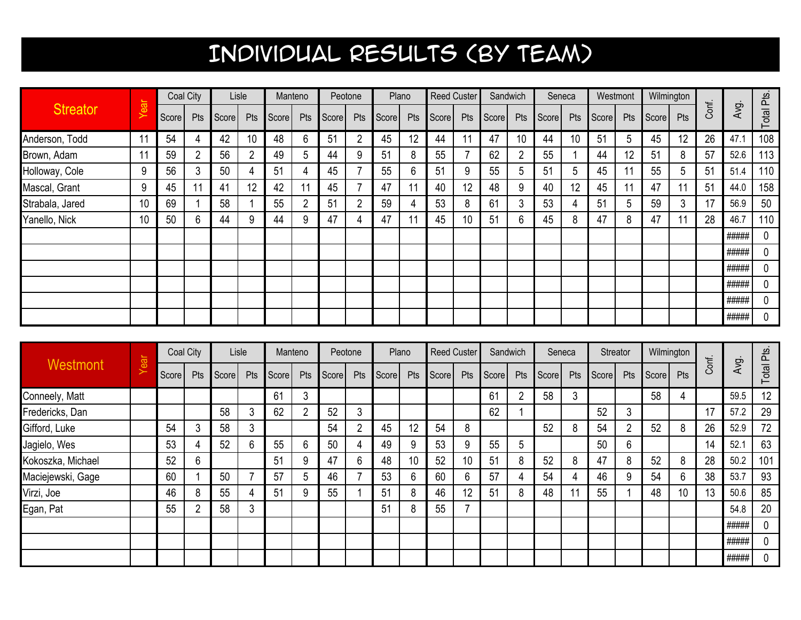|                 |      |       | Coal City |       | Lisle |       | Manteno        |       | Peotone        |       | Plano | Reed Custer |     |       | Sandwich |       | Seneca | Westmont |     | Wilmington |     |       |       |            |
|-----------------|------|-------|-----------|-------|-------|-------|----------------|-------|----------------|-------|-------|-------------|-----|-------|----------|-------|--------|----------|-----|------------|-----|-------|-------|------------|
| <b>Streator</b> | Year | Score | Pts       | Score | Pts   | Score | Pts            | Score | Pts            | Score | Pts   | Score       | Pts | Score | Pts      | Score | Pts    | Score    | Pts | Score      | Pts | Conf. | Avg.  | Total Pts. |
| Anderson, Todd  | 11   | 54    | 4         | 42    | 10    | 48    | 6              | 51    | $\overline{2}$ | 45    | 12    | 44          |     | 47    | 10       | 44    | 10     | 51       | 5   | 45         | 12  | 26    | 47.1  | 108        |
| Brown, Adam     | 11   | 59    | 2         | 56    |       | 49    | 5              | 44    | 9              | 51    | 8     | 55          |     | 62    |          | 55    |        | 44       | 12  | 51         | 8   | 57    | 52.6  | 113        |
| Holloway, Cole  | 9    | 56    | 3         | 50    |       | 51    | 4              | 45    |                | 55    | 6     | 51          | 9   | 55    | 5        | 51    | 5      | 45       | 11  | 55         | 5   | 51    | 51.4  | 110        |
| Mascal, Grant   | 9    | 45    | 11        | 41    | 12    | 42    |                | 45    |                | 47    | 11    | 40          | 12  | 48    | 9        | 40    | 12     | 45       | 11  | 47         | 11  | 51    | 44.0  | 158        |
| Strabala, Jared | 10   | 69    |           | 58    |       | 55    | $\overline{2}$ | 51    | $\overline{2}$ | 59    | 4     | 53          | 8   | 61    | 3        | 53    |        | 51       | 5   | 59         | 3   | 17    | 56.9  | 50         |
| Yanello, Nick   | 10   | 50    | 6         | 44    |       | 44    | 9              | 47    | 4              | 47    |       | 45          | 10  | 51    | 6        | 45    | 8      | 47       | 8   | 47         | 11  | 28    | 46.7  | 110        |
|                 |      |       |           |       |       |       |                |       |                |       |       |             |     |       |          |       |        |          |     |            |     |       | ##### | 0          |
|                 |      |       |           |       |       |       |                |       |                |       |       |             |     |       |          |       |        |          |     |            |     |       | ##### | $\Omega$   |
|                 |      |       |           |       |       |       |                |       |                |       |       |             |     |       |          |       |        |          |     |            |     |       | ##### | 0          |
|                 |      |       |           |       |       |       |                |       |                |       |       |             |     |       |          |       |        |          |     |            |     |       | ##### | 0          |
|                 |      |       |           |       |       |       |                |       |                |       |       |             |     |       |          |       |        |          |     |            |     |       | ##### | 0          |
|                 |      |       |           |       |       |       |                |       |                |       |       |             |     |       |          |       |        |          |     |            |     |       | ##### | 0          |

| Westmont          |             |       | Coal City |       | Lisle | Manteno |     |       | Peotone        |       | Plano  | <b>Reed Custer</b> |                          | Sandwich       |     |       | Seneca | Streator |              | Wilmington |     |       |       |            |
|-------------------|-------------|-------|-----------|-------|-------|---------|-----|-------|----------------|-------|--------|--------------------|--------------------------|----------------|-----|-------|--------|----------|--------------|------------|-----|-------|-------|------------|
|                   | <i>lear</i> | Score | Pts       | Score | Pts   | Score   | Pts | Score | Pts            | Score | Pts    | Score              | Pts                      | Score          | Pts | Score | Pts    | Score    | Pts          | Score      | Pts | Conf. | Avg.  | Total Pts. |
| Conneely, Matt    |             |       |           |       |       | 61      | 3   |       |                |       |        |                    |                          | 6 <sup>1</sup> | 2   | 58    | 3      |          |              | 58         | 4   |       | 59.5  | 12         |
| Fredericks, Dan   |             |       |           | 58    | ◠     | 62      | 2   | 52    | ◠<br>J.        |       |        |                    |                          | 62             |     |       |        | 52       | 3            |            |     | 17    | 57.2  | 29         |
| Gifford, Luke     |             | 54    | 3         | 58    | 3     |         |     | 54    | $\overline{2}$ | 45    | 12     | 54                 | 8                        |                |     | 52    | 8      | 54       | <sup>o</sup> | 52         | 8   | 26    | 52.9  | 72         |
| Jagielo, Wes      |             | 53    | 4         | 52    | 6     | 55      | 6   | 50    | 4              | 49    | 9      | 53                 | 9                        | 55             | 5   |       |        | 50       | 6            |            |     | 14    | 52.1  | 63         |
| Kokoszka, Michael |             | 52    | 6         |       |       | 51      | 9   | 47    | 6              | 48    | 10     | 52                 | 10                       | 5 <sup>′</sup> | 8   | 52    | 8      | 47       | 8            | 52         | 8   | 28    | 50.2  | 101        |
| Maciejewski, Gage |             | 60    |           | 50    |       | 57      | 5   | 46    |                | 53    | ⌒<br>b | 60                 | 6                        | 57             | 4   | 54    |        | 46       | 9            | 54         | 6   | 38    | 53.7  | 93         |
| Virzi, Joe        |             | 46    | 8         | 55    |       | 51      | 9   | 55    |                | 51    | 8      | 46                 | 12                       | 51             | 8   | 48    |        | 55       |              | 48         | 10  | 13    | 50.6  | 85         |
| Egan, Pat         |             | 55    | ∩         | 58    | 3     |         |     |       |                | 51    | 8      | 55                 | $\overline{\phantom{a}}$ |                |     |       |        |          |              |            |     |       | 54.8  | 20         |
|                   |             |       |           |       |       |         |     |       |                |       |        |                    |                          |                |     |       |        |          |              |            |     |       | ##### | 0          |
|                   |             |       |           |       |       |         |     |       |                |       |        |                    |                          |                |     |       |        |          |              |            |     |       | ##### | 0          |
|                   |             |       |           |       |       |         |     |       |                |       |        |                    |                          |                |     |       |        |          |              |            |     |       | ##### | 0          |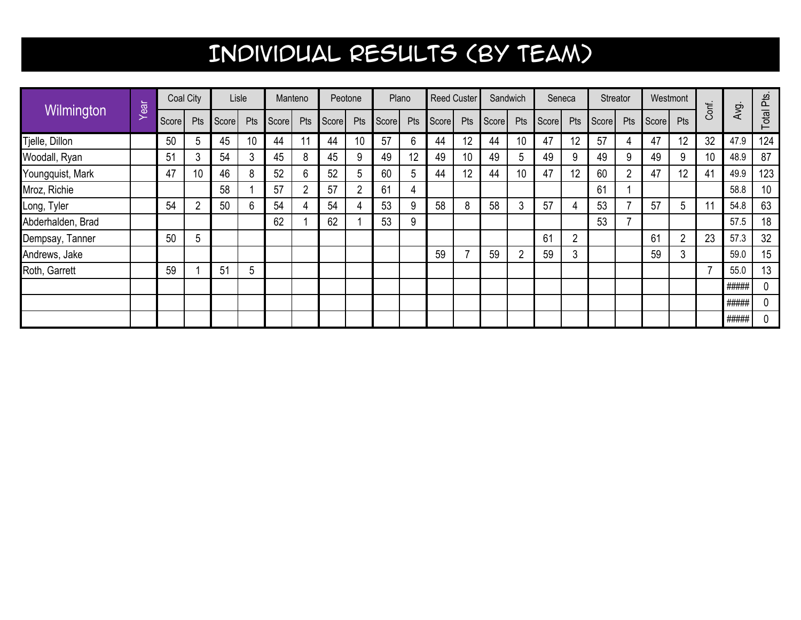|                   |      |       | Coal City      |       | Lisle           |       | Manteno |       | Peotone |       | Plano | <b>Reed Custer</b> |     |       | Sandwich       | Seneca<br>Streator<br>Westmont |                |       |                |       |     |       |       |            |
|-------------------|------|-------|----------------|-------|-----------------|-------|---------|-------|---------|-------|-------|--------------------|-----|-------|----------------|--------------------------------|----------------|-------|----------------|-------|-----|-------|-------|------------|
| Wilmington        | Year | Score | Pts            | Score | Pts             | Score | Pts     | Score | Pts     | Score | Pts   | Score              | Pts | Score | Pts            | Score                          | Pts            | Score | Pts            | Score | Pts | Conf. | Avg.  | Total Pts. |
| Tjelle, Dillon    |      | 50    | 5              | 45    | 10              | 44    | 11      | 44    | 10      | 57    | 6     | 44                 | 12  | 44    | 10             | 47                             | 12             | 57    | 4              | 47    | 12  | 32    | 47.9  | 124        |
| Woodall, Ryan     |      | 51    | 3              | 54    | 3               | 45    | 8       | 45    | 9       | 49    | 12    | 49                 | 10  | 49    | 5              | 49                             | 9              | 49    | 9              | 49    | 9   | 10    | 48.9  | 87         |
| Youngquist, Mark  |      | 47    | 10             | 46    | 8               | 52    | 6       | 52    | 5       | 60    | 5     | 44                 | 12  | 44    | 10             | 47                             | 12             | 60    | $\overline{2}$ | 47    | 12  | 41    | 49.9  | 123        |
| Mroz, Richie      |      |       |                | 58    |                 | 57    | 2       | 57    | 2       | 61    | 4     |                    |     |       |                |                                |                | 61    |                |       |     |       | 58.8  | 10         |
| Long, Tyler       |      | 54    | $\overline{2}$ | 50    | 6               | 54    | 4       | 54    | 4       | 53    | 9     | 58                 | 8   | 58    | 3              | 57                             |                | 53    |                | 57    | 5   |       | 54.8  | 63         |
| Abderhalden, Brad |      |       |                |       |                 | 62    |         | 62    |         | 53    | 9     |                    |     |       |                |                                |                | 53    |                |       |     |       | 57.5  | 18         |
| Dempsay, Tanner   |      | 50    | 5              |       |                 |       |         |       |         |       |       |                    |     |       |                | 61                             | $\overline{2}$ |       |                | 61    | 2   | 23    | 57.3  | 32         |
| Andrews, Jake     |      |       |                |       |                 |       |         |       |         |       |       | 59                 |     | 59    | $\overline{2}$ | 59                             | 3              |       |                | 59    | 3   |       | 59.0  | 15         |
| Roth, Garrett     |      | 59    |                | 51    | $5\phantom{.0}$ |       |         |       |         |       |       |                    |     |       |                |                                |                |       |                |       |     |       | 55.0  | 13         |
|                   |      |       |                |       |                 |       |         |       |         |       |       |                    |     |       |                |                                |                |       |                |       |     |       | ##### | 0          |
|                   |      |       |                |       |                 |       |         |       |         |       |       |                    |     |       |                |                                |                |       |                |       |     |       | ##### | 0          |
|                   |      |       |                |       |                 |       |         |       |         |       |       |                    |     |       |                |                                |                |       |                |       |     |       | ##### | 0          |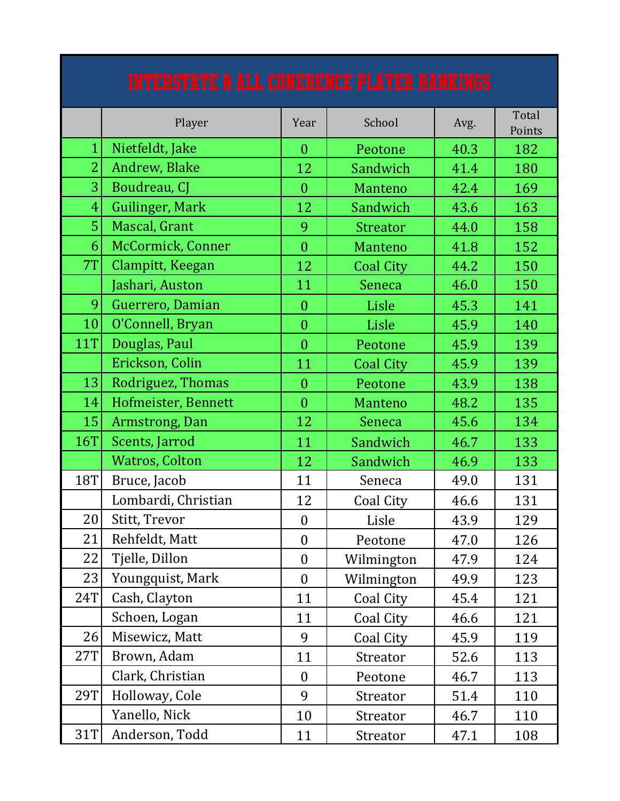|                | <b>INTERSTATE 8 ALL CONERENCE PLAYER RANKINGS</b> |                  |                  |      |                 |
|----------------|---------------------------------------------------|------------------|------------------|------|-----------------|
|                | Player                                            | Year             | School           | Avg. | Total<br>Points |
| $\mathbf{1}$   | Nietfeldt, Jake                                   | $\theta$         | Peotone          | 40.3 | 182             |
| $\overline{2}$ | Andrew, Blake                                     | 12               | Sandwich         | 41.4 | 180             |
| $\overline{3}$ | Boudreau, CJ                                      | $\overline{0}$   | <b>Manteno</b>   | 42.4 | 169             |
| $\overline{4}$ | Guilinger, Mark                                   | 12               | Sandwich         | 43.6 | 163             |
| $\overline{5}$ | Mascal, Grant                                     | 9                | <b>Streator</b>  | 44.0 | 158             |
| 6              | McCormick, Conner                                 | $\overline{0}$   | Manteno          | 41.8 | 152             |
| 7T             | Clampitt, Keegan                                  | 12               | <b>Coal City</b> | 44.2 | 150             |
|                | Jashari, Auston                                   | 11               | Seneca           | 46.0 | 150             |
| 9              | Guerrero, Damian                                  | $\overline{0}$   | Lisle            | 45.3 | 141             |
| 10             | O'Connell, Bryan                                  | $\overline{0}$   | Lisle            | 45.9 | 140             |
| <b>11T</b>     | Douglas, Paul                                     | $\overline{0}$   | Peotone          | 45.9 | 139             |
|                | Erickson, Colin                                   | 11               | <b>Coal City</b> | 45.9 | 139             |
| 13             | Rodriguez, Thomas                                 | $\overline{0}$   | Peotone          | 43.9 | 138             |
| 14             | Hofmeister, Bennett                               | $\overline{0}$   | Manteno          | 48.2 | 135             |
| 15             | Armstrong, Dan                                    | 12               | Seneca           | 45.6 | 134             |
| <b>16T</b>     | Scents, Jarrod                                    | 11               | Sandwich         | 46.7 | 133             |
|                | <b>Watros, Colton</b>                             | 12               | Sandwich         | 46.9 | 133             |
| <b>18T</b>     | Bruce, Jacob                                      | 11               | Seneca           | 49.0 | 131             |
|                | Lombardi, Christian                               | 12               | Coal City        | 46.6 | 131             |
| 20             | Stitt, Trevor                                     | $\boldsymbol{0}$ | Lisle            | 43.9 | 129             |
| 21             | Rehfeldt, Matt                                    | $\boldsymbol{0}$ | Peotone          | 47.0 | 126             |
| 22             | Tjelle, Dillon                                    | $\boldsymbol{0}$ | Wilmington       | 47.9 | 124             |
| 23             | Youngquist, Mark                                  | $\boldsymbol{0}$ | Wilmington       | 49.9 | 123             |
| <b>24T</b>     | Cash, Clayton                                     | 11               | Coal City        | 45.4 | 121             |
|                | Schoen, Logan                                     | 11               | Coal City        | 46.6 | 121             |
| 26             | Misewicz, Matt                                    | 9                | Coal City        | 45.9 | 119             |
| 27T            | Brown, Adam                                       | 11               | Streator         | 52.6 | 113             |
|                | Clark, Christian                                  | $\boldsymbol{0}$ | Peotone          | 46.7 | 113             |
| <b>29T</b>     | Holloway, Cole                                    | 9                | Streator         | 51.4 | 110             |
|                | Yanello, Nick                                     | 10               | Streator         | 46.7 | 110             |
| 31T            | Anderson, Todd                                    | 11               | Streator         | 47.1 | 108             |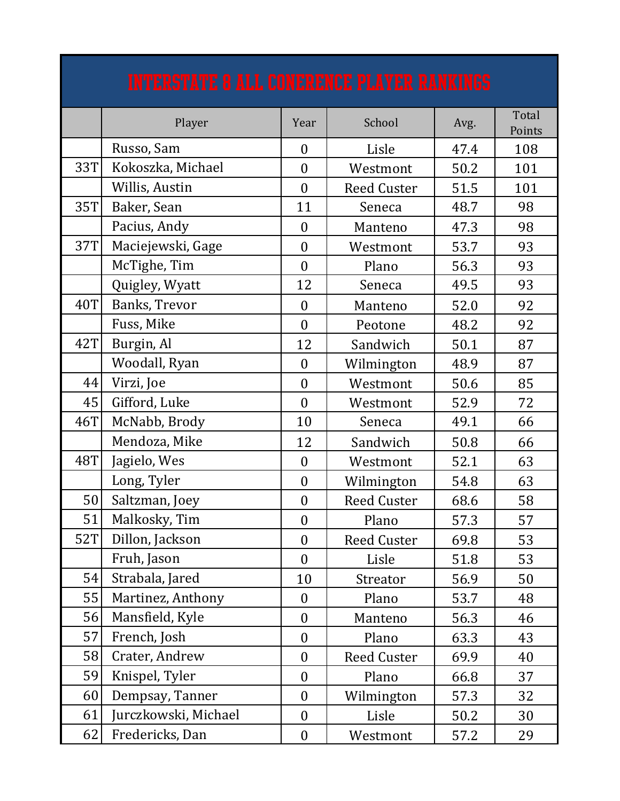|            | <b>INTERSTATE 8 ALL CONERENCE PLAYER RANKINGS</b> |                  |                    |      |                 |
|------------|---------------------------------------------------|------------------|--------------------|------|-----------------|
|            | Player                                            | Year             | School             | Avg. | Total<br>Points |
|            | Russo, Sam                                        | $\theta$         | Lisle              | 47.4 | 108             |
| <b>33T</b> | Kokoszka, Michael                                 | $\theta$         | Westmont           | 50.2 | 101             |
|            | Willis, Austin                                    | $\theta$         | <b>Reed Custer</b> | 51.5 | 101             |
| <b>35T</b> | Baker, Sean                                       | 11               | Seneca             | 48.7 | 98              |
|            | Pacius, Andy                                      | $\theta$         | Manteno            | 47.3 | 98              |
| <b>37T</b> | Maciejewski, Gage                                 | $\theta$         | Westmont           | 53.7 | 93              |
|            | McTighe, Tim                                      | $\overline{0}$   | Plano              | 56.3 | 93              |
|            | Quigley, Wyatt                                    | 12               | Seneca             | 49.5 | 93              |
| <b>40T</b> | Banks, Trevor                                     | $\theta$         | Manteno            | 52.0 | 92              |
|            | Fuss, Mike                                        | $\overline{0}$   | Peotone            | 48.2 | 92              |
| 42T        | Burgin, Al                                        | 12               | Sandwich           | 50.1 | 87              |
|            | Woodall, Ryan                                     | $\overline{0}$   | Wilmington         | 48.9 | 87              |
| 44         | Virzi, Joe                                        | $\theta$         | Westmont           | 50.6 | 85              |
| 45         | Gifford, Luke                                     | $\overline{0}$   | Westmont           | 52.9 | 72              |
| 46T        | McNabb, Brody                                     | 10               | Seneca             | 49.1 | 66              |
|            | Mendoza, Mike                                     | 12               | Sandwich           | 50.8 | 66              |
| <b>48T</b> | Jagielo, Wes                                      | $\boldsymbol{0}$ | Westmont           | 52.1 | 63              |
|            | Long, Tyler                                       | $\theta$         | Wilmington         | 54.8 | 63              |
| 50         | Saltzman, Joey                                    | $\boldsymbol{0}$ | <b>Reed Custer</b> | 68.6 | 58              |
| 51         | Malkosky, Tim                                     | $\boldsymbol{0}$ | Plano              | 57.3 | 57              |
| <b>52T</b> | Dillon, Jackson                                   | $\boldsymbol{0}$ | <b>Reed Custer</b> | 69.8 | 53              |
|            | Fruh, Jason                                       | $\overline{0}$   | Lisle              | 51.8 | 53              |
| 54         | Strabala, Jared                                   | 10               | Streator           | 56.9 | 50              |
| 55         | Martinez, Anthony                                 | $\theta$         | Plano              | 53.7 | 48              |
| 56         | Mansfield, Kyle                                   | $\boldsymbol{0}$ | Manteno            | 56.3 | 46              |
| 57         | French, Josh                                      | $\boldsymbol{0}$ | Plano              | 63.3 | 43              |
| 58         | Crater, Andrew                                    | $\overline{0}$   | <b>Reed Custer</b> | 69.9 | 40              |
| 59         | Knispel, Tyler                                    | $\overline{0}$   | Plano              | 66.8 | 37              |
| 60         | Dempsay, Tanner                                   | $\boldsymbol{0}$ | Wilmington         | 57.3 | 32              |
| 61         | Jurczkowski, Michael                              | $\boldsymbol{0}$ | Lisle              | 50.2 | 30              |
| 62         | Fredericks, Dan                                   | $\boldsymbol{0}$ | Westmont           | 57.2 | 29              |